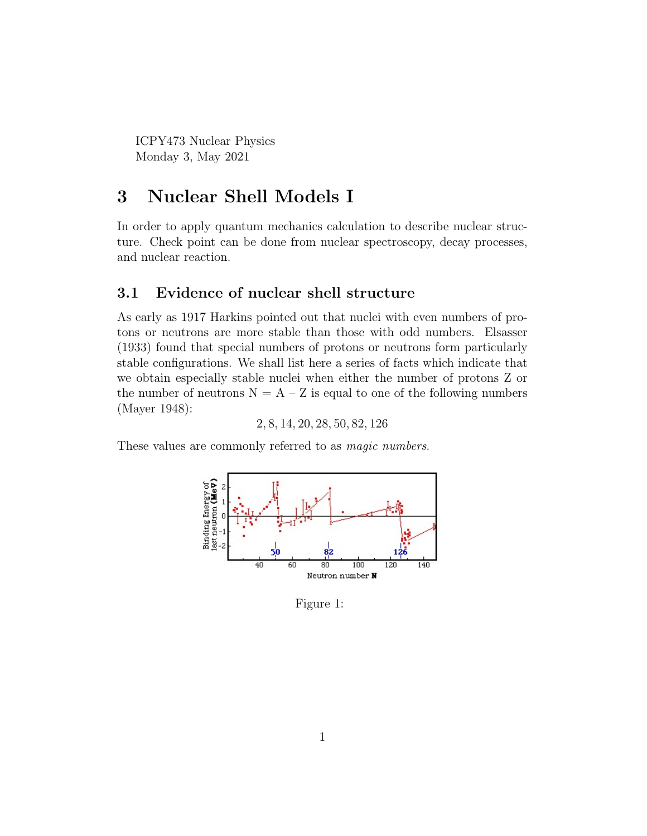ICPY473 Nuclear Physics Monday 3, May 2021

## 3 Nuclear Shell Models I

In order to apply quantum mechanics calculation to describe nuclear structure. Check point can be done from nuclear spectroscopy, decay processes, and nuclear reaction.

### 3.1 Evidence of nuclear shell structure

As early as 1917 Harkins pointed out that nuclei with even numbers of protons or neutrons are more stable than those with odd numbers. Elsasser (1933) found that special numbers of protons or neutrons form particularly stable configurations. We shall list here a series of facts which indicate that we obtain especially stable nuclei when either the number of protons Z or the number of neutrons  $N = A - Z$  is equal to one of the following numbers (Mayer 1948):

2, 8, 14, 20, 28, 50, 82, 126

These values are commonly referred to as *magic numbers*.



Figure 1: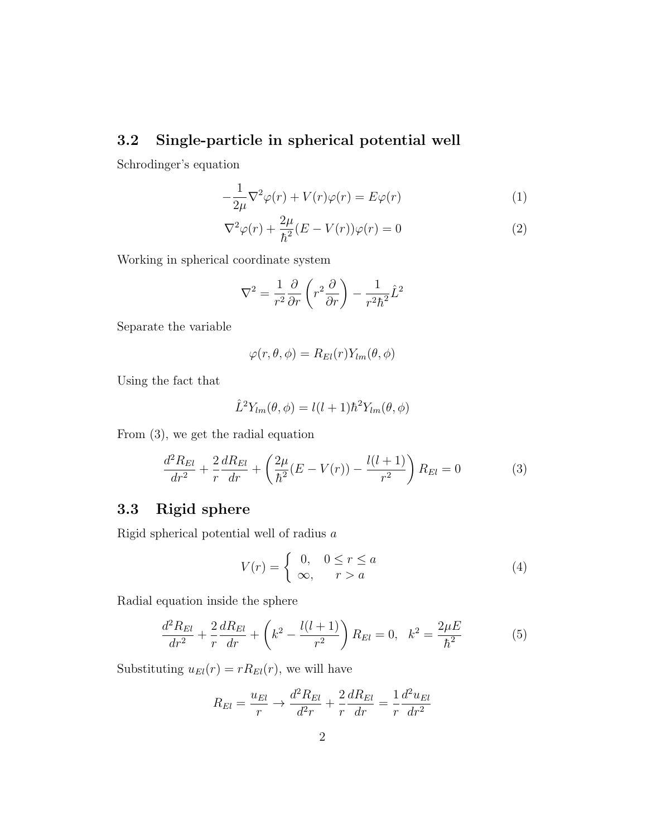## 3.2 Single-particle in spherical potential well

Schrodinger's equation

$$
-\frac{1}{2\mu}\nabla^2\varphi(r) + V(r)\varphi(r) = E\varphi(r)
$$
\n(1)

$$
\nabla^2 \varphi(r) + \frac{2\mu}{\hbar^2} (E - V(r))\varphi(r) = 0
$$
\n(2)

Working in spherical coordinate system

$$
\nabla^2 = \frac{1}{r^2} \frac{\partial}{\partial r} \left( r^2 \frac{\partial}{\partial r} \right) - \frac{1}{r^2 \hbar^2} \hat{L}^2
$$

Separate the variable

$$
\varphi(r,\theta,\phi) = R_{El}(r)Y_{lm}(\theta,\phi)
$$

Using the fact that

$$
\hat{L}^2 Y_{lm}(\theta,\phi) = l(l+1)\hbar^2 Y_{lm}(\theta,\phi)
$$

From (3), we get the radial equation

$$
\frac{d^2 R_{El}}{dr^2} + \frac{2}{r} \frac{d R_{El}}{dr} + \left(\frac{2\mu}{\hbar^2} (E - V(r)) - \frac{l(l+1)}{r^2}\right) R_{El} = 0
$$
\n(3)

## 3.3 Rigid sphere

Rigid spherical potential well of radius a

$$
V(r) = \begin{cases} 0, & 0 \le r \le a \\ \infty, & r > a \end{cases}
$$
 (4)

Radial equation inside the sphere

$$
\frac{d^2 R_{El}}{dr^2} + \frac{2}{r} \frac{d R_{El}}{dr} + \left(k^2 - \frac{l(l+1)}{r^2}\right) R_{El} = 0, \quad k^2 = \frac{2\mu E}{\hbar^2} \tag{5}
$$

Substituting  $u_{El}(r) = rR_{El}(r)$ , we will have

$$
R_{El} = \frac{u_{El}}{r} \rightarrow \frac{d^2 R_{El}}{d^2 r} + \frac{2}{r} \frac{d R_{El}}{dr} = \frac{1}{r} \frac{d^2 u_{El}}{dr^2}
$$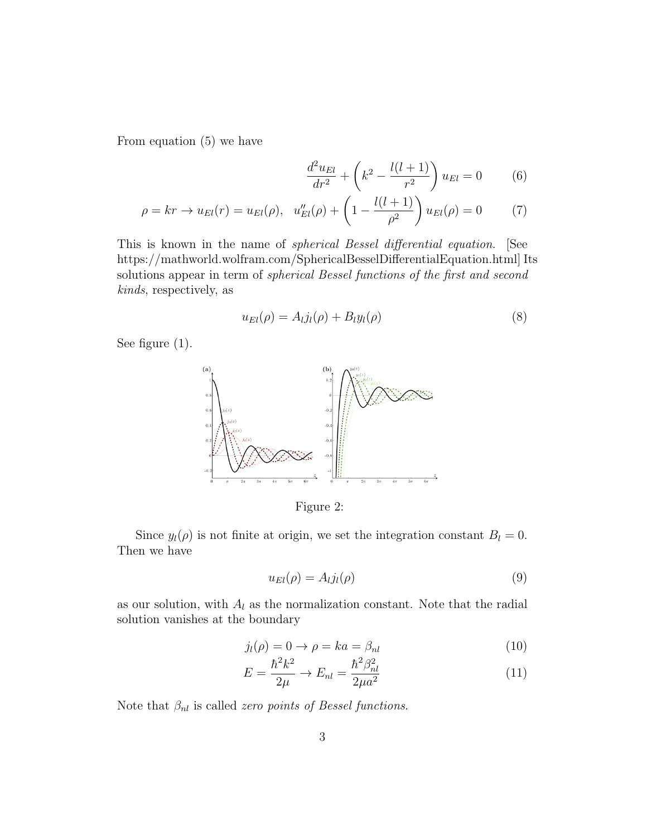From equation (5) we have

$$
\frac{d^2u_{El}}{dr^2} + \left(k^2 - \frac{l(l+1)}{r^2}\right)u_{El} = 0
$$
 (6)

$$
\rho = kr \to u_{El}(r) = u_{El}(\rho), \quad u''_{El}(\rho) + \left(1 - \frac{l(l+1)}{\rho^2}\right)u_{El}(\rho) = 0 \tag{7}
$$

This is known in the name of spherical Bessel differential equation. [See https://mathworld.wolfram.com/SphericalBesselDifferentialEquation.html] Its solutions appear in term of *spherical Bessel functions of the first and second* kinds, respectively, as

$$
u_{El}(\rho) = A_l j_l(\rho) + B_l y_l(\rho) \tag{8}
$$

See figure (1).



Figure 2:

Since  $y_l(\rho)$  is not finite at origin, we set the integration constant  $B_l = 0$ . Then we have

$$
u_{El}(\rho) = A_l j_l(\rho) \tag{9}
$$

as our solution, with  $A_l$  as the normalization constant. Note that the radial solution vanishes at the boundary

$$
j_l(\rho) = 0 \to \rho = ka = \beta_{nl} \tag{10}
$$

$$
E = \frac{\hbar^2 k^2}{2\mu} \to E_{nl} = \frac{\hbar^2 \beta_{nl}^2}{2\mu a^2} \tag{11}
$$

Note that  $\beta_{nl}$  is called *zero points of Bessel functions*.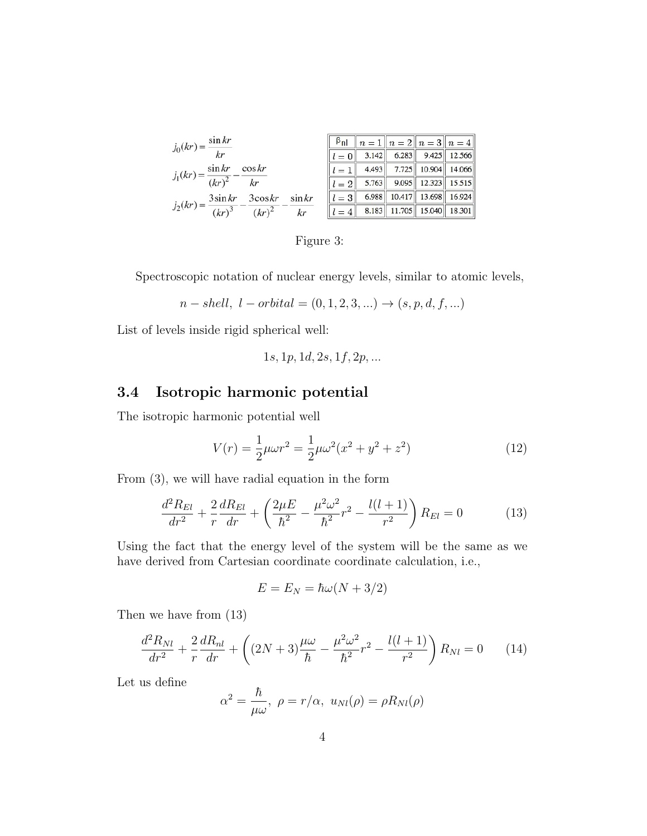| $j_0(kr) = \frac{\sin kr}{kr}$                                                     | $\beta_{\rm nl}$ $n = 1$ $n = 2$ $n = 3$ $n = 4$ |  |  |
|------------------------------------------------------------------------------------|--------------------------------------------------|--|--|
|                                                                                    | $l = 0$ 3.142 6.283 9.425 12.566                 |  |  |
| $j_1(kr) = \frac{\sin kr}{(kr)^2} - \frac{\cos kr}{kr}$                            | $l = 1$ 4.493 7.725 10.904 14.066                |  |  |
|                                                                                    | $l = 2$ 5.763 9.095 12.323 15.515                |  |  |
|                                                                                    | $l = 3$ 6.988 10.417 13.698 16.924               |  |  |
| $j_2(kr) = \frac{3\sin kr}{(kr)^3} - \frac{3\cos kr}{(kr)^2} - \frac{\sin kr}{kr}$ | $l = 4$ 8.183 11.705 15.040 18.301               |  |  |

Figure 3:

Spectroscopic notation of nuclear energy levels, similar to atomic levels,

$$
n - shell, l - orbital = (0, 1, 2, 3, ...) \rightarrow (s, p, d, f, ...)
$$

List of levels inside rigid spherical well:

$$
1s, 1p, 1d, 2s, 1f, 2p, \dots
$$

## 3.4 Isotropic harmonic potential

The isotropic harmonic potential well

$$
V(r) = \frac{1}{2}\mu\omega r^2 = \frac{1}{2}\mu\omega^2(x^2 + y^2 + z^2)
$$
 (12)

From (3), we will have radial equation in the form

$$
\frac{d^2 R_{El}}{dr^2} + \frac{2}{r} \frac{d R_{El}}{dr} + \left(\frac{2\mu E}{\hbar^2} - \frac{\mu^2 \omega^2}{\hbar^2} r^2 - \frac{l(l+1)}{r^2}\right) R_{El} = 0 \tag{13}
$$

Using the fact that the energy level of the system will be the same as we have derived from Cartesian coordinate coordinate calculation, i.e.,

$$
E = E_N = \hbar\omega(N + 3/2)
$$

Then we have from (13)

$$
\frac{d^2 R_{Nl}}{dr^2} + \frac{2}{r} \frac{dR_{nl}}{dr} + \left( (2N+3) \frac{\mu \omega}{\hbar} - \frac{\mu^2 \omega^2}{\hbar^2} r^2 - \frac{l(l+1)}{r^2} \right) R_{Nl} = 0 \qquad (14)
$$

Let us define

$$
\alpha^2 = \frac{\hbar}{\mu \omega}, \ \rho = r/\alpha, \ u_{Nl}(\rho) = \rho R_{Nl}(\rho)
$$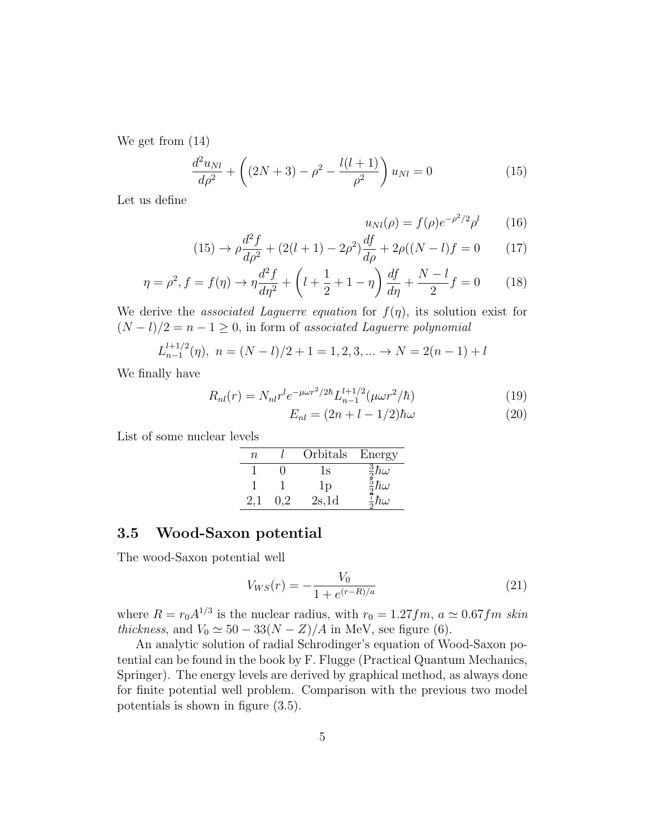We get from (14)

$$
\frac{d^2u_{Nl}}{d\rho^2} + \left((2N+3) - \rho^2 - \frac{l(l+1)}{\rho^2}\right)u_{Nl} = 0\tag{15}
$$

Let us define

$$
u_{Nl}(\rho) = f(\rho)e^{-\rho^2/2}\rho^l \qquad (16)
$$

$$
(15) \to \rho \frac{d^2 f}{d\rho^2} + (2(l+1) - 2\rho^2) \frac{df}{d\rho} + 2\rho((N-l)f = 0 \tag{17}
$$

$$
\eta = \rho^2, f = f(\eta) \to \eta \frac{d^2 f}{d\eta^2} + \left(l + \frac{1}{2} + 1 - \eta\right) \frac{df}{d\eta} + \frac{N - l}{2} f = 0 \tag{18}
$$

We derive the *associated Laguerre equation* for  $f(\eta)$ , its solution exist for  $(N - l)/2 = n - 1 \ge 0$ , in form of associated Laguerre polynomial

$$
L_{n-1}^{l+1/2}(\eta), \ n = (N-l)/2 + 1 = 1, 2, 3, \dots \to N = 2(n-1) + l
$$

We finally have

$$
R_{nl}(r) = N_{nl}r^{l}e^{-\mu\omega r^{2}/2\hbar}L_{n-1}^{l+1/2}(\mu\omega r^{2}/\hbar)
$$
\n(19)

$$
E_{nl} = (2n + l - 1/2)\hbar\omega\tag{20}
$$

List of some nuclear levels

| n | Orbitals       | Energy                   |
|---|----------------|--------------------------|
|   | Ιs             | $rac{3}{2}\hbar\omega$   |
|   | 1 <sub>D</sub> | $\frac{5}{3}\hbar\omega$ |
|   | 2s,1d          | $\frac{7}{9}\hbar\omega$ |

## 3.5 Wood-Saxon potential

The wood-Saxon potential well

$$
V_{WS}(r) = -\frac{V_0}{1 + e^{(r - R)/a}}\tag{21}
$$

where  $R = r_0 A^{1/3}$  is the nuclear radius, with  $r_0 = 1.27 fm$ ,  $a \simeq 0.67 fm$  skin thickness, and  $V_0 \simeq 50 - 33(N - Z)/A$  in MeV, see figure (6).

An analytic solution of radial Schrodinger's equation of Wood-Saxon potential can be found in the book by F. Flugge (Practical Quantum Mechanics, Springer). The energy levels are derived by graphical method, as always done for finite potential well problem. Comparison with the previous two model potentials is shown in figure (3.5).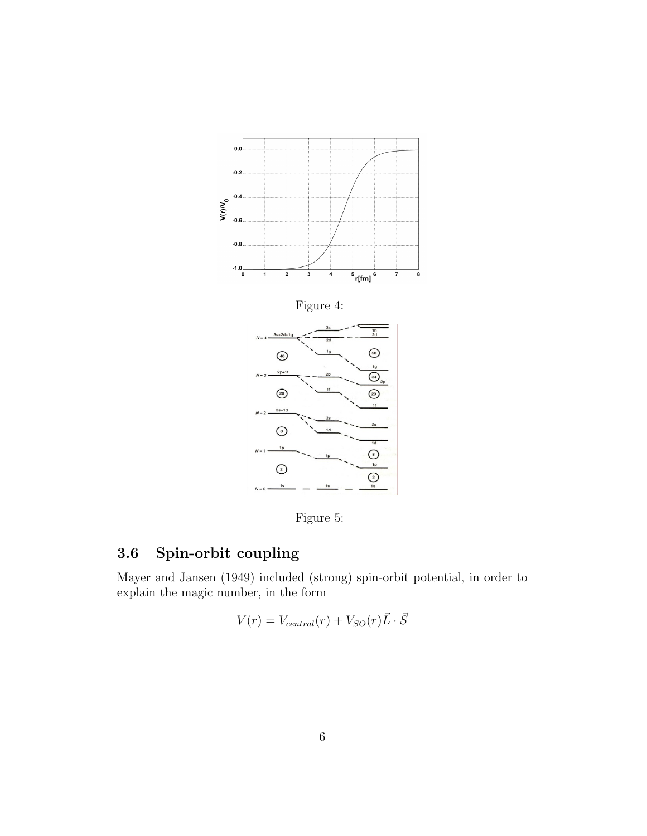

Figure 5:

# 3.6 Spin-orbit coupling

Mayer and Jansen (1949) included (strong) spin-orbit potential, in order to explain the magic number, in the form

$$
V(r) = V_{central}(r) + V_{SO}(r)\vec{L} \cdot \vec{S}
$$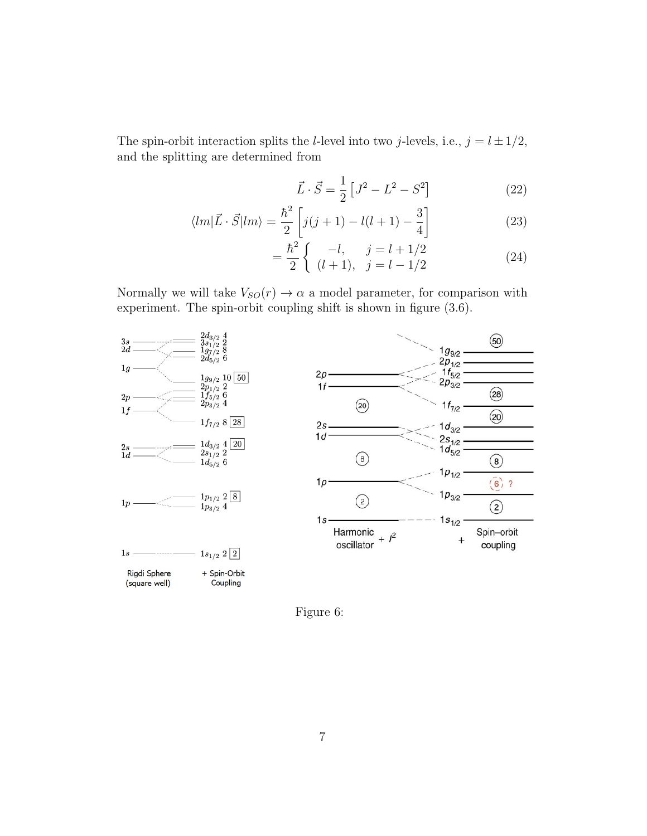The spin-orbit interaction splits the *l*-level into two *j*-levels, i.e.,  $j = l \pm 1/2$ , and the splitting are determined from

$$
\vec{L} \cdot \vec{S} = \frac{1}{2} \left[ J^2 - L^2 - S^2 \right] \tag{22}
$$

$$
\langle lm|\vec{L}\cdot\vec{S}|lm\rangle = \frac{\hbar^2}{2}\left[j(j+1)-l(l+1)-\frac{3}{4}\right]
$$
\n(23)

$$
= \frac{\hbar^2}{2} \begin{cases} -l, & j = l + 1/2 \\ (l+1), & j = l - 1/2 \end{cases}
$$
 (24)

Normally we will take  $V_{SO}(r) \rightarrow \alpha$  a model parameter, for comparison with experiment. The spin-orbit coupling shift is shown in figure (3.6).



Figure 6: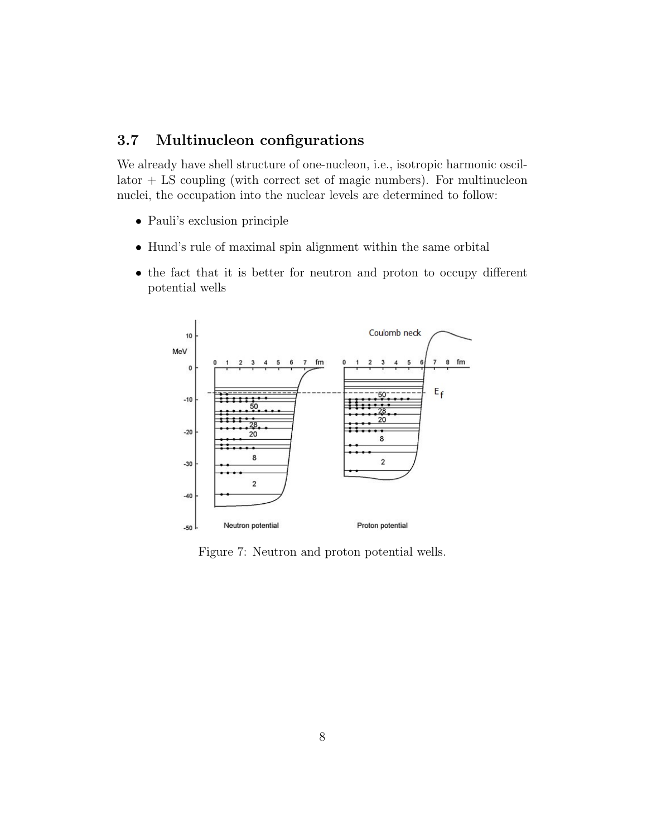## 3.7 Multinucleon configurations

We already have shell structure of one-nucleon, i.e., isotropic harmonic oscil- $\text{later} + \text{LS coupling}$  (with correct set of magic numbers). For multinucleon nuclei, the occupation into the nuclear levels are determined to follow:

- Pauli's exclusion principle
- Hund's rule of maximal spin alignment within the same orbital
- the fact that it is better for neutron and proton to occupy different potential wells



Figure 7: Neutron and proton potential wells.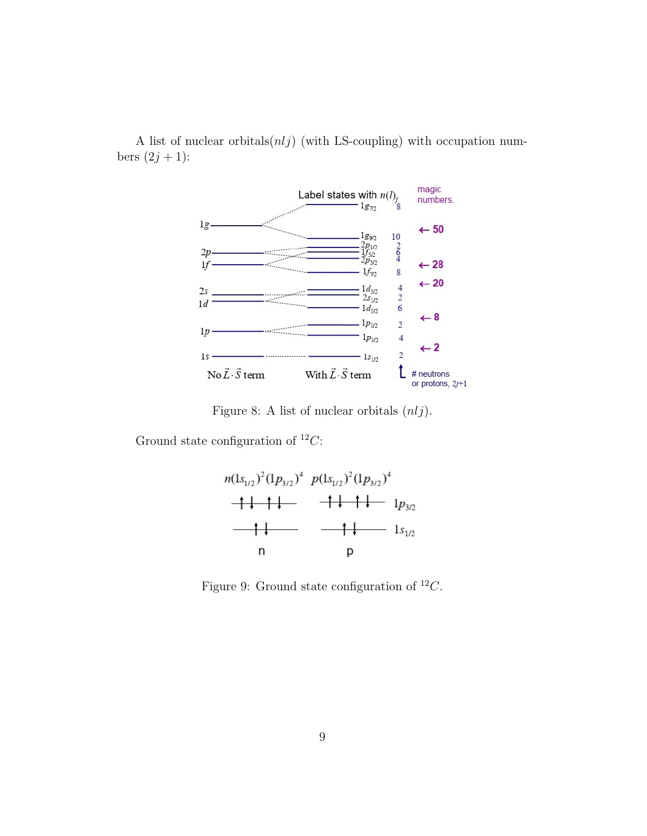A list of nuclear orbitals $(n,ij)$  (with LS-coupling) with occupation numbers  $(2j + 1)$ :



Figure 8: A list of nuclear orbitals  $(nlj)$ .

Ground state configuration of  ${}^{12}C$ :



Figure 9: Ground state configuration of  $^{12}C$ .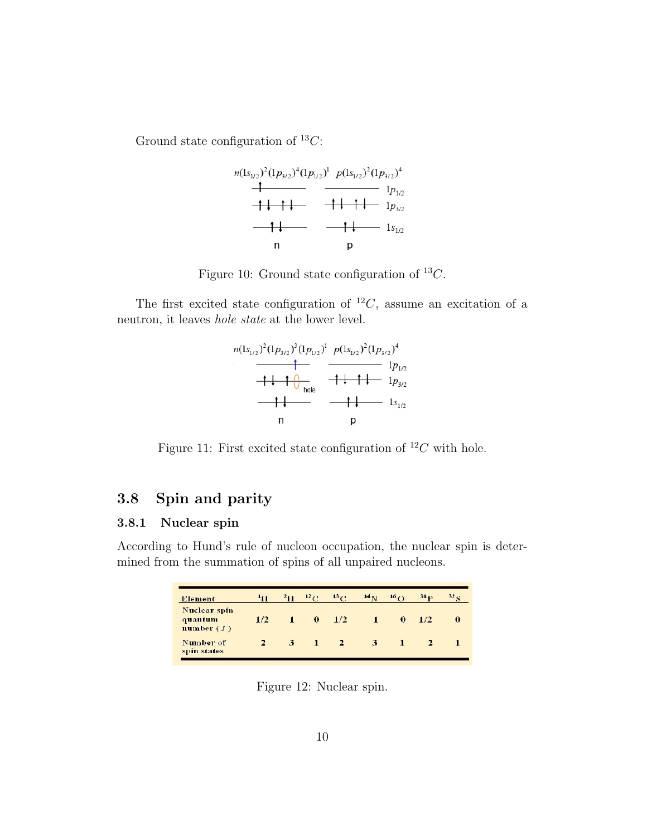Ground state configuration of  ${}^{13}C$ :



Figure 10: Ground state configuration of  $^{13}C$ .

The first excited state configuration of  ${}^{12}C$ , assume an excitation of a neutron, it leaves hole state at the lower level.



Figure 11: First excited state configuration of  ${}^{12}C$  with hole.

## 3.8 Spin and parity

### 3.8.1 Nuclear spin

According to Hund's rule of nucleon occupation, the nuclear spin is determined from the summation of spins of all unpaired nucleons.

| <b>Element</b>                          | $1_{11}$ | $2_{11}$ | 12 <sub>0</sub> | 13 <sub>f</sub> | 14 <sub>N</sub> | 16(1)    | 31 <sub>13</sub> | 32 <sub>13</sub> |
|-----------------------------------------|----------|----------|-----------------|-----------------|-----------------|----------|------------------|------------------|
| Nuclear spin<br>quantum<br>number $(I)$ | 1/2      |          | $\Omega$        | 1/2             |                 | $\Omega$ | 1/2.             | $\bf{0}$         |
| Number of<br>spin states                |          | 3        | 1               | 2               | 3               |          |                  |                  |

Figure 12: Nuclear spin.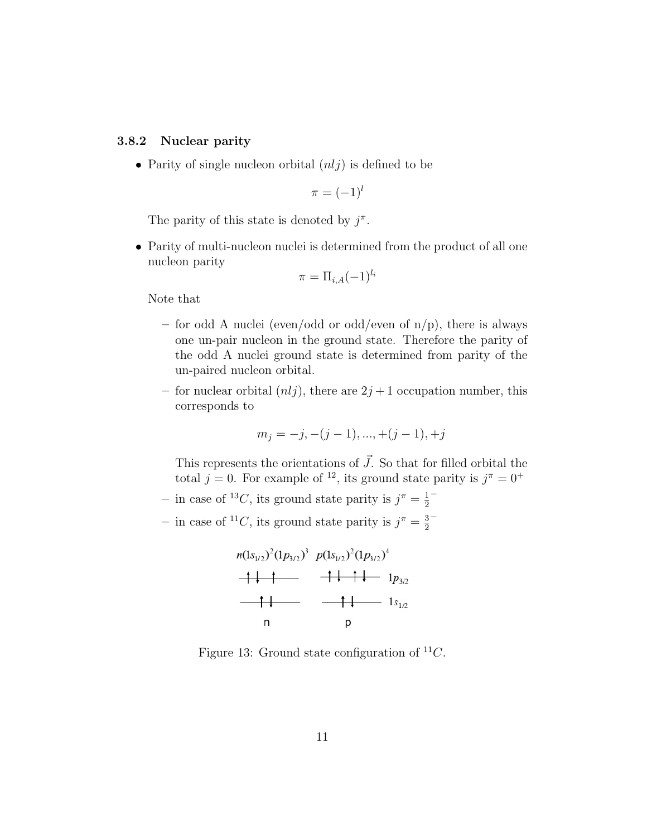### 3.8.2 Nuclear parity

• Parity of single nucleon orbital  $(n<sub>l</sub>)$  is defined to be

$$
\pi=(-1)^l
$$

The parity of this state is denoted by  $j^{\pi}$ .

• Parity of multi-nucleon nuclei is determined from the product of all one nucleon parity

$$
\pi = \Pi_{i,A}(-1)^{l_i}
$$

Note that

- for odd A nuclei (even/odd or odd/even of  $n/p$ ), there is always one un-pair nucleon in the ground state. Therefore the parity of the odd A nuclei ground state is determined from parity of the un-paired nucleon orbital.
- for nuclear orbital  $(nlj)$ , there are  $2j+1$  occupation number, this corresponds to

$$
m_j = -j, -(j-1), ..., +(j-1), +j
$$

This represents the orientations of  $\vec{J}$ . So that for filled orbital the total  $j = 0$ . For example of <sup>12</sup>, its ground state parity is  $j^{\pi} = 0^+$ 

- in case of <sup>13</sup>C, its ground state parity is  $j^{\pi} = \frac{1}{2}$ 2 −
- in case of <sup>11</sup>C, its ground state parity is  $j^{\pi} = \frac{3}{2}$ 2 −



Figure 13: Ground state configuration of  ${}^{11}C$ .